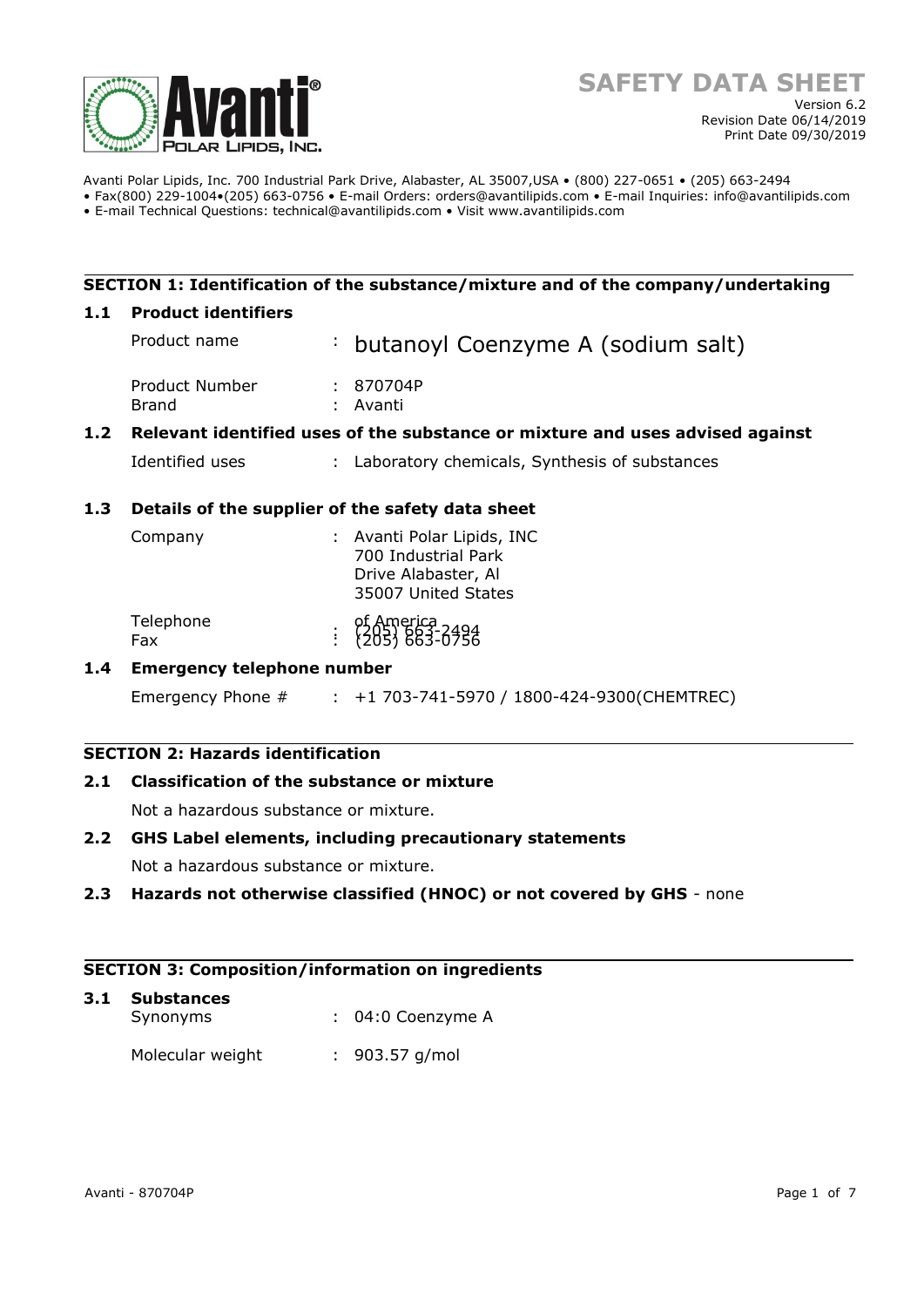

Avanti Polar Lipids, Inc. 700 Industrial Park Drive, Alabaster, AL 35007,USA • (800) 227-0651 • (205) 663-2494 • Fax(800) 229-1004•(205) 663-0756 • E-mail Orders: orders@avantilipids.com • E-mail Inquiries: info@avantilipids.com

• E-mail Technical Questions: technical@avantilipids.com • Visit www.avantilipids.com

# **SECTION 1: Identification of the substance/mixture and of the company/undertaking**

### **1.1 Product identifiers**

|     | Product name                                                                  |  | : butanoyl Coenzyme A (sodium salt)             |
|-----|-------------------------------------------------------------------------------|--|-------------------------------------------------|
|     | Product Number<br>Brand                                                       |  | : 870704P<br>: Avanti                           |
| 1.2 | Relevant identified uses of the substance or mixture and uses advised against |  |                                                 |
|     | Identified uses                                                               |  | : Laboratory chemicals, Synthesis of substances |

# **1.3 Details of the supplier of the safety data sheet**

| Company          |  | : Avanti Polar Lipids, INC<br>700 Industrial Park<br>Drive Alabaster, Al<br>35007 United States |
|------------------|--|-------------------------------------------------------------------------------------------------|
| Telephone<br>Fax |  | of America<br>: {205} 663-0756                                                                  |

# **1.4 Emergency telephone number**

Emergency Phone # : +1 703-741-5970 / 1800-424-9300(CHEMTREC)

# **SECTION 2: Hazards identification**

# **2.1 Classification of the substance or mixture**

Not a hazardous substance or mixture.

# **2.2 GHS Label elements, including precautionary statements**

Not a hazardous substance or mixture.

# **2.3 Hazards not otherwise classified (HNOC) or not covered by GHS** - none

# **SECTION 3: Composition/information on ingredients**

| 3.1 Substances<br>Synonyms |  | $: 04:0$ Coenzyme A |
|----------------------------|--|---------------------|
| Molecular weight           |  | $: 903.57$ g/mol    |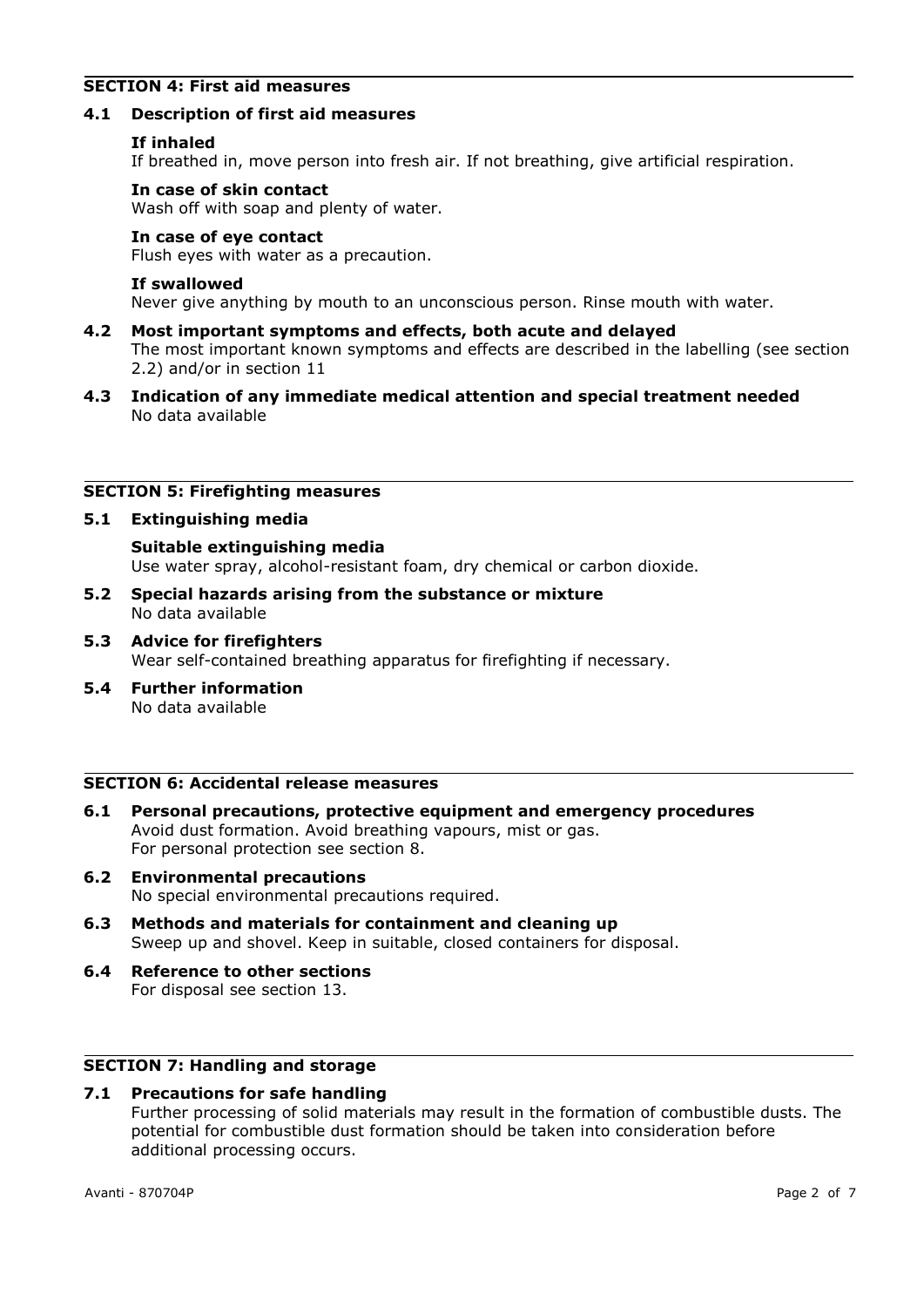# **SECTION 4: First aid measures**

### **4.1 Description of first aid measures**

### **If inhaled**

If breathed in, move person into fresh air. If not breathing, give artificial respiration.

### **In case of skin contact**

Wash off with soap and plenty of water.

### **In case of eye contact**

Flush eyes with water as a precaution.

### **If swallowed**

Never give anything by mouth to an unconscious person. Rinse mouth with water.

- **4.2 Most important symptoms and effects, both acute and delayed** The most important known symptoms and effects are described in the labelling (see section 2.2) and/or in section 11
- **4.3 Indication of any immediate medical attention and special treatment needed** No data available

### **SECTION 5: Firefighting measures**

### **5.1 Extinguishing media**

**Suitable extinguishing media** Use water spray, alcohol-resistant foam, dry chemical or carbon dioxide.

- **5.2 Special hazards arising from the substance or mixture** No data available
- **5.3 Advice for firefighters** Wear self-contained breathing apparatus for firefighting if necessary.
- **5.4 Further information** No data available

### **SECTION 6: Accidental release measures**

- **6.1 Personal precautions, protective equipment and emergency procedures** Avoid dust formation. Avoid breathing vapours, mist or gas. For personal protection see section 8.
- **6.2 Environmental precautions** No special environmental precautions required.
- **6.3 Methods and materials for containment and cleaning up** Sweep up and shovel. Keep in suitable, closed containers for disposal.
- **6.4 Reference to other sections** For disposal see section 13.

# **SECTION 7: Handling and storage**

# **7.1 Precautions for safe handling**

Further processing of solid materials may result in the formation of combustible dusts. The potential for combustible dust formation should be taken into consideration before additional processing occurs.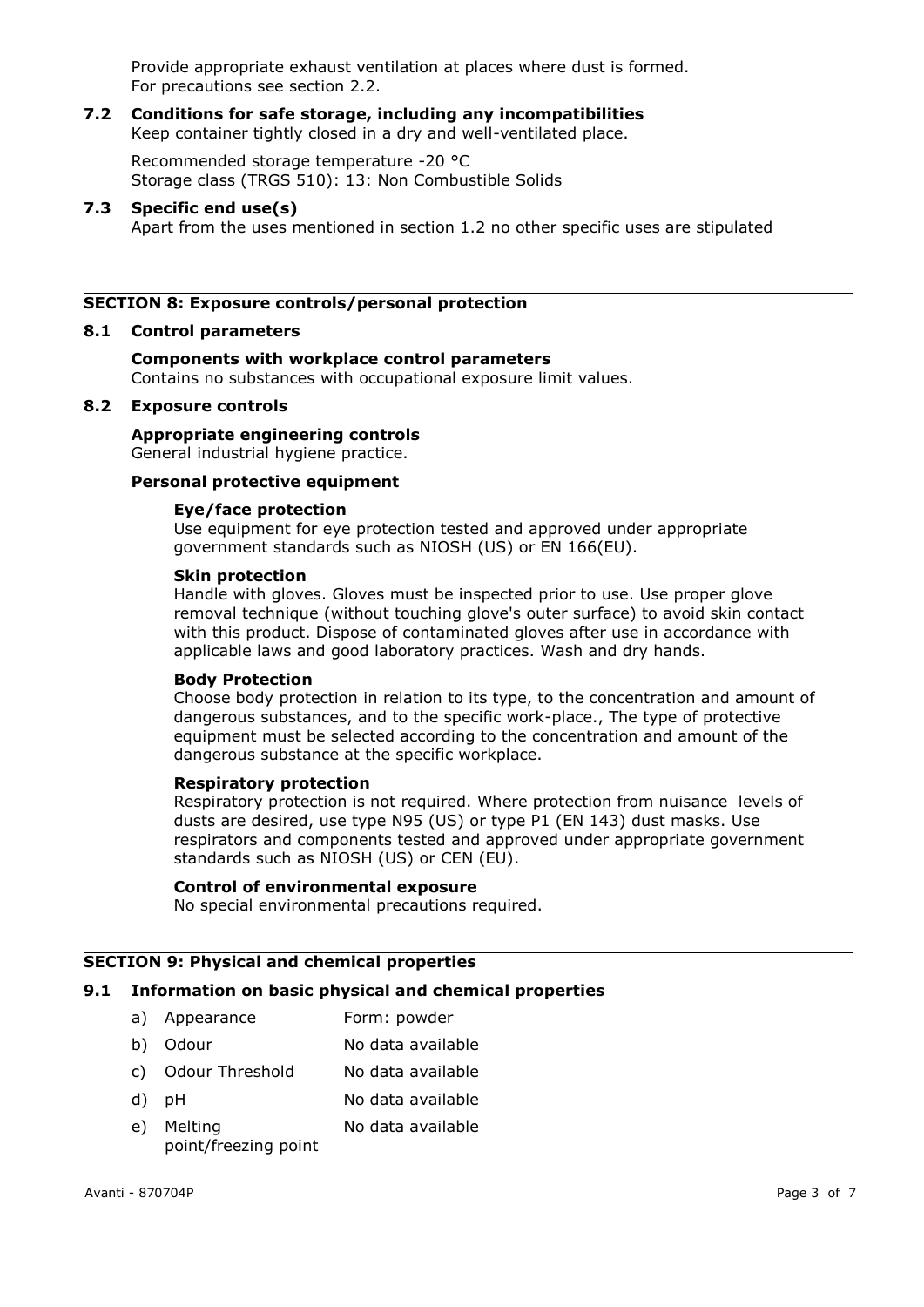Provide appropriate exhaust ventilation at places where dust is formed. For precautions see section 2.2.

#### **7.2 Conditions for safe storage, including any incompatibilities** Keep container tightly closed in a dry and well-ventilated place.

Recommended storage temperature -20 °C Storage class (TRGS 510): 13: Non Combustible Solids

### **7.3 Specific end use(s)**

Apart from the uses mentioned in section 1.2 no other specific uses are stipulated

# **SECTION 8: Exposure controls/personal protection**

### **8.1 Control parameters**

# **Components with workplace control parameters**

Contains no substances with occupational exposure limit values.

### **8.2 Exposure controls**

# **Appropriate engineering controls**

General industrial hygiene practice.

# **Personal protective equipment**

### **Eye/face protection**

Use equipment for eye protection tested and approved under appropriate government standards such as NIOSH (US) or EN 166(EU).

### **Skin protection**

Handle with gloves. Gloves must be inspected prior to use. Use proper glove removal technique (without touching glove's outer surface) to avoid skin contact with this product. Dispose of contaminated gloves after use in accordance with applicable laws and good laboratory practices. Wash and dry hands.

### **Body Protection**

Choose body protection in relation to its type, to the concentration and amount of dangerous substances, and to the specific work-place., The type of protective equipment must be selected according to the concentration and amount of the dangerous substance at the specific workplace.

### **Respiratory protection**

Respiratory protection is not required. Where protection from nuisance levels of dusts are desired, use type N95 (US) or type P1 (EN 143) dust masks. Use respirators and components tested and approved under appropriate government standards such as NIOSH (US) or CEN (EU).

### **Control of environmental exposure**

No special environmental precautions required.

### **SECTION 9: Physical and chemical properties**

# **9.1 Information on basic physical and chemical properties**

- a) Appearance Form: powder
- b) Odour No data available
- c) Odour Threshold No data available
- d) pH No data available
- e) Melting point/freezing point No data available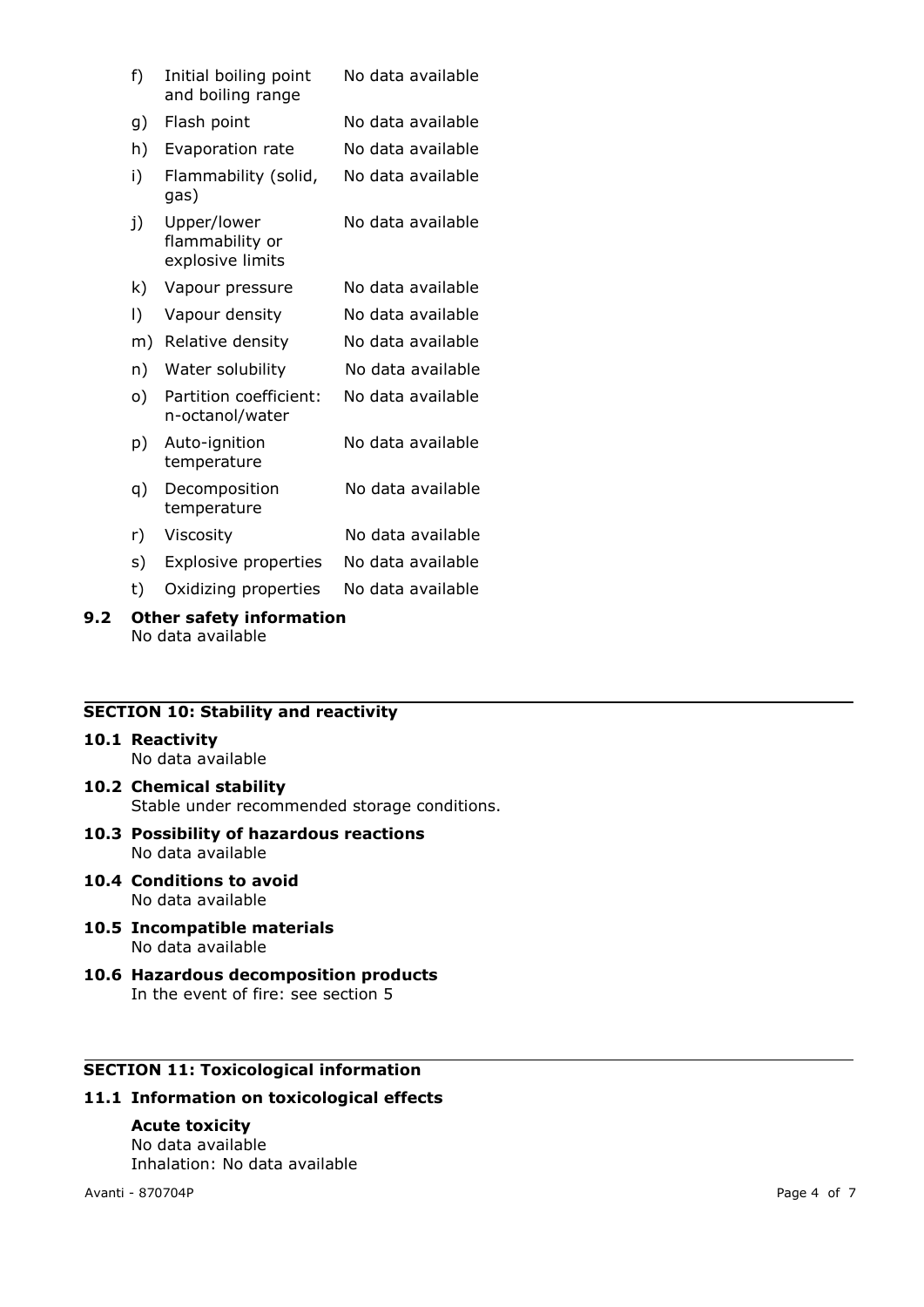| f)                      | Initial boiling point<br>and boiling range         | No data available |  |  |  |
|-------------------------|----------------------------------------------------|-------------------|--|--|--|
| g)                      | Flash point                                        | No data available |  |  |  |
| h)                      | Evaporation rate                                   | No data available |  |  |  |
| i)                      | Flammability (solid,<br>gas)                       | No data available |  |  |  |
| j)                      | Upper/lower<br>flammability or<br>explosive limits | No data available |  |  |  |
| k)                      | Vapour pressure                                    | No data available |  |  |  |
| I)                      | Vapour density                                     | No data available |  |  |  |
| m)                      | Relative density                                   | No data available |  |  |  |
| n)                      | Water solubility                                   | No data available |  |  |  |
| o)                      | Partition coefficient:<br>n-octanol/water          | No data available |  |  |  |
| p)                      | Auto-ignition<br>temperature                       | No data available |  |  |  |
| q)                      | Decomposition<br>temperature                       | No data available |  |  |  |
| r)                      | Viscosity                                          | No data available |  |  |  |
| s)                      | <b>Explosive properties</b>                        | No data available |  |  |  |
| t)                      | Oxidizing properties                               | No data available |  |  |  |
| . Bankara San Bankara a |                                                    |                   |  |  |  |

### **9.2 Other safety information** No data available

# **SECTION 10: Stability and reactivity**

### **10.1 Reactivity**

No data available

- **10.2 Chemical stability** Stable under recommended storage conditions.
- **10.3 Possibility of hazardous reactions** No data available
- **10.4 Conditions to avoid** No data available
- **10.5 Incompatible materials** No data available
- **10.6 Hazardous decomposition products** In the event of fire: see section 5

# **SECTION 11: Toxicological information**

# **11.1 Information on toxicological effects**

# **Acute toxicity**

No data available Inhalation: No data available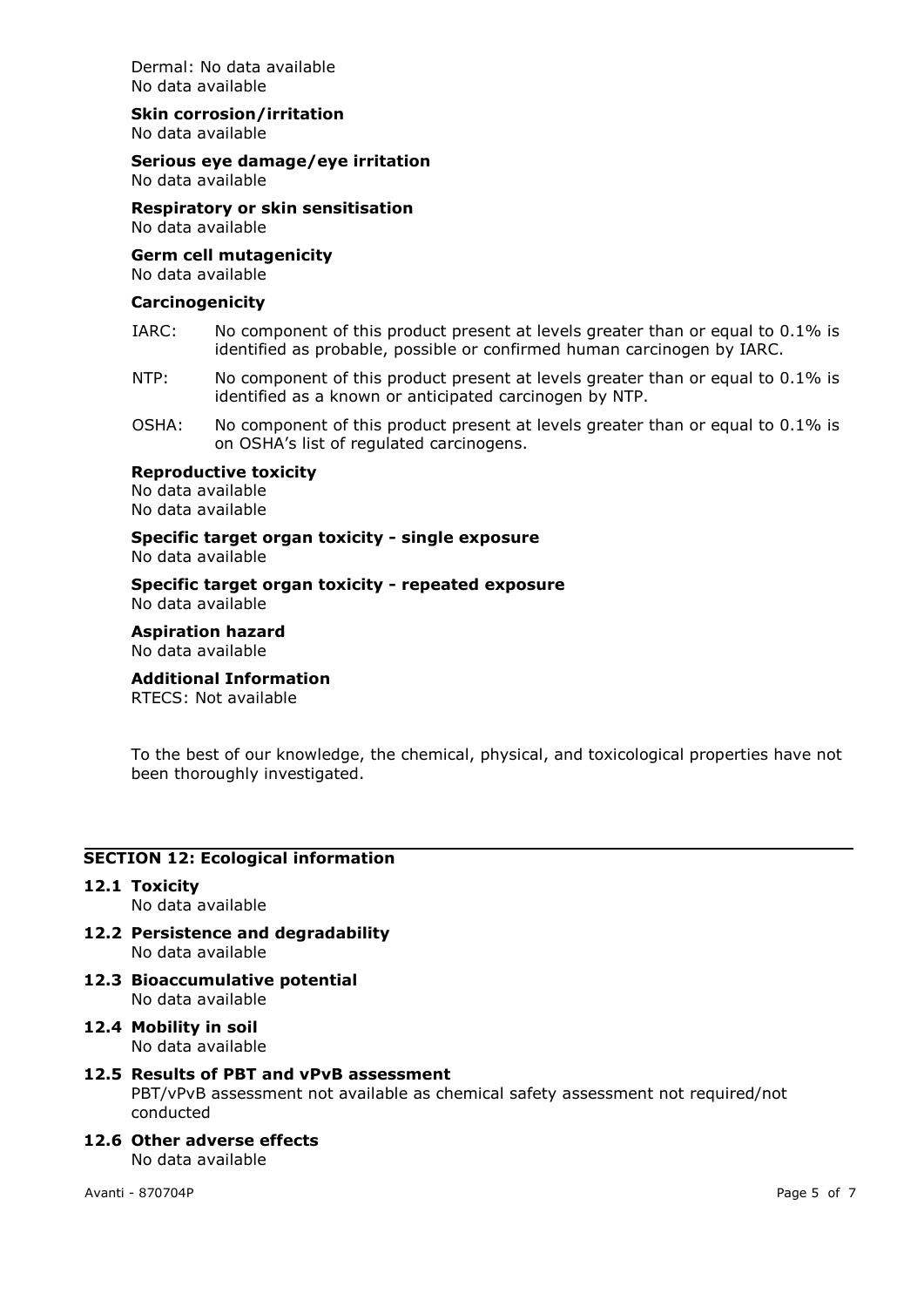Dermal: No data available No data available

### **Skin corrosion/irritation**

No data available

# **Serious eye damage/eye irritation**

No data available

# **Respiratory or skin sensitisation**

No data available

### **Germ cell mutagenicity**

No data available

### **Carcinogenicity**

- IARC: No component of this product present at levels greater than or equal to 0.1% is identified as probable, possible or confirmed human carcinogen by IARC.
- NTP: No component of this product present at levels greater than or equal to 0.1% is identified as a known or anticipated carcinogen by NTP.
- OSHA: No component of this product present at levels greater than or equal to 0.1% is on OSHA's list of regulated carcinogens.

### **Reproductive toxicity**

No data available No data available

#### **Specific target organ toxicity - single exposure** No data available

**Specific target organ toxicity - repeated exposure** No data available

### **Aspiration hazard** No data available

# **Additional Information**

RTECS: Not available

To the best of our knowledge, the chemical, physical, and toxicological properties have not been thoroughly investigated.

### **SECTION 12: Ecological information**

# **12.1 Toxicity**

- No data available
- **12.2 Persistence and degradability** No data available
- **12.3 Bioaccumulative potential** No data available
- **12.4 Mobility in soil** No data available

# **12.5 Results of PBT and vPvB assessment**

PBT/vPvB assessment not available as chemical safety assessment not required/not conducted

**12.6 Other adverse effects** No data available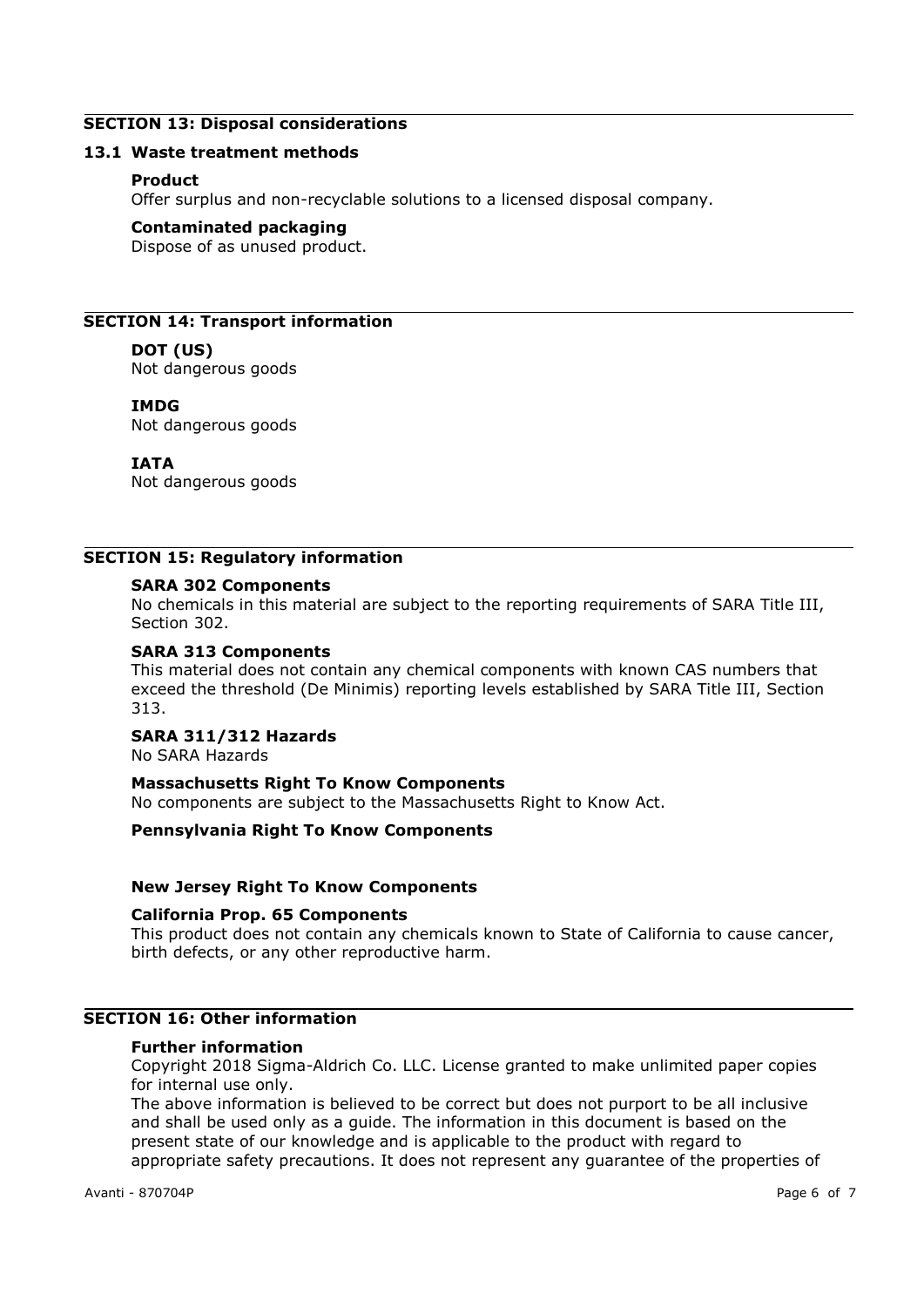# **SECTION 13: Disposal considerations**

### **13.1 Waste treatment methods**

### **Product**

Offer surplus and non-recyclable solutions to a licensed disposal company.

### **Contaminated packaging**

Dispose of as unused product.

# **SECTION 14: Transport information**

### **DOT (US)**

Not dangerous goods

### **IMDG**

Not dangerous goods

### **IATA**

Not dangerous goods

# **SECTION 15: Regulatory information**

### **SARA 302 Components**

No chemicals in this material are subject to the reporting requirements of SARA Title III, Section 302.

### **SARA 313 Components**

This material does not contain any chemical components with known CAS numbers that exceed the threshold (De Minimis) reporting levels established by SARA Title III, Section 313.

### **SARA 311/312 Hazards**

No SARA Hazards

# **Massachusetts Right To Know Components**

No components are subject to the Massachusetts Right to Know Act.

# **Pennsylvania Right To Know Components**

### **New Jersey Right To Know Components**

### **California Prop. 65 Components**

This product does not contain any chemicals known to State of California to cause cancer, birth defects, or any other reproductive harm.

# **SECTION 16: Other information**

# **Further information**

Copyright 2018 Sigma-Aldrich Co. LLC. License granted to make unlimited paper copies for internal use only.

The above information is believed to be correct but does not purport to be all inclusive and shall be used only as a guide. The information in this document is based on the present state of our knowledge and is applicable to the product with regard to appropriate safety precautions. It does not represent any guarantee of the properties of